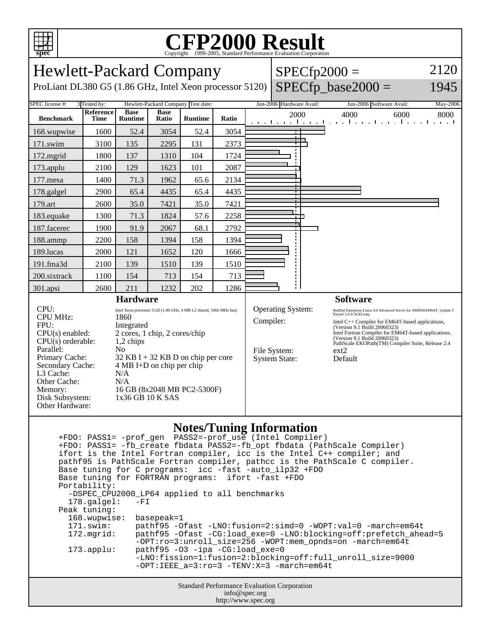

## C<sub>opyright</sub> ©1999-2005, Standard Performance Evaluation Corporation

Hewlett-Packard Company  $SPECfp2000 =$ 2120 ProLiant DL380 G5 (1.86 GHz, Intel Xeon processor 5120)  $SPECfp\_base2000 =$ 1945 SPEC license #: 3 Tested by: Hewlett-Packard Company Test date: Jun-2006 Hardware Avail: Jun-2006 Software Avail: May-2006 **Reference Base Base Ratio Runtime Ratio** 2000 4000 6000 8000 **Benchmark Time Runtime** 168.wupwise 1600 52.4 3054 52.4 3054 − 171.swim | 3100 | 135 | 2295 | 131 | 2373 172.mgrid | 1800 | 137 | 1310 | 104 | 1724 173.applu | 2100 | 129 | 1623 | 101 | 2087 177.mesa | 1400 | 71.3 | 1962 | 65.6 | 2134 178.galgel | 2900 | 65.4 | 4435 | 65.4 | 4435 179.art | 2600 | 35.0 | 7421 | 35.0 | 7421 183.equake 1300 71.3 1824 57.6 2258 187.facerec | 1900 | 91.9 | 2067 | 68.1 | 2792 188.ammp | 2200 | 158 | 1394 | 158 | 1394 189.lucas | 2000 | 121 | 1652 | 120 | 1666 191.fma3d | 2100 | 139 | 1510 | 139 | 1510 200.sixtrack 1100 154 713 154 713 301.apsi 2600 211 1232 202 1286 **Hardware Software** CPU: Intel Xeon processor 5120 (1.86 GHz, 4 MB L2 shared, 1066 MHz bus)<br>CPU MHz:  $1860$ Operating System: RedHat Enterprise Linux 4.0 Advanced Server for AMD64/EM64T, Update 3 CPU MHz: Compiler: Intel C++ Compiler for EM64T-based applications, FPU: Integrated (Version 9.1 Build 20060323) Intel Fortran Compiler for EM64T-based applications, CPU(s) enabled: 2 cores, 1 chip, 2 cores/chip (Version 9.1 Build 20060323)  $CPU(s)$  orderable:  $1,2$  chips PathScale EKOPath(TM) Compiler Suite, Release 2.4 Parallel: No File System: ext2<br>System State: Default Primary Cache: 32 KB I + 32 KB D on chip per core System State: Secondary Cache: 4 MB I+D on chip per chip L3 Cache: N/A Other Cache: N/A Memory: 16 GB (8x2048 MB PC2-5300F) Disk Subsystem: 1x36 GB 10 K SAS Other Hardware:

## **Notes/Tuning Information**

Standard Performance Evaluation Corporation info@spec.org +FDO: PASS1= -prof\_gen PASS2=-prof\_use (Intel Compiler) +FDO: PASS1= -fb\_create fbdata PASS2=-fb\_opt fbdata (PathScale Compiler) ifort is the Intel Fortran compiler, icc is the Intel C++ compiler; and pathf95 is PathScale Fortran compiler, pathcc is the PathScale C compiler. Base tuning for C programs: icc -fast -auto\_ilp32 +FDO Base tuning for FORTRAN programs: ifort -fast +FDO Portability: -DSPEC\_CPU2000\_LP64 applied to all benchmarks<br>178.galgel: -FI  $178.galgel:$  Peak tuning: 168.wupwise: basepeak=1 171.swim: pathf95 -Ofast -LNO:fusion=2:simd=0 -WOPT:val=0 -march=em64t 172.mgrid: pathf95 -Ofast -CG:load\_exe=0 -LNO:blocking=off:prefetch\_ahead=5 -OPT:ro=3:unroll\_size=256 -WOPT:mem\_opnds=on -march=em64t 173.applu: pathf95 -O3 -ipa -CG:load\_exe=0 -LNO:fission=1:fusion=2:blocking=off:full\_unroll\_size=9000  $-$ OPT:IEEE  $a=3:ro=3$   $-TENV:X=3$   $-march=em64t$ 

http://www.spec.org